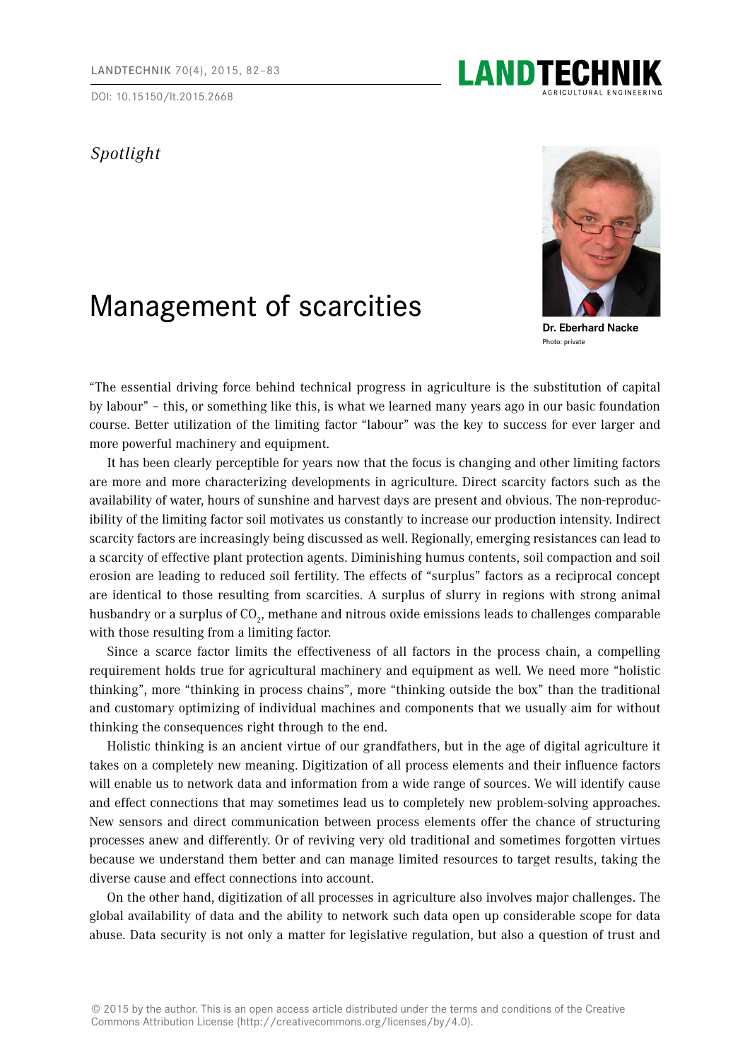DOI: 10.15150/lt.2015.2668

## *Spotlight*

## Management of scarcities

**Dr. Eberhard Nacke** Photo: private

"The essential driving force behind technical progress in agriculture is the substitution of capital by labour" – this, or something like this, is what we learned many years ago in our basic foundation course. Better utilization of the limiting factor "labour" was the key to success for ever larger and more powerful machinery and equipment.

It has been clearly perceptible for years now that the focus is changing and other limiting factors are more and more characterizing developments in agriculture. Direct scarcity factors such as the availability of water, hours of sunshine and harvest days are present and obvious. The non-reproducibility of the limiting factor soil motivates us constantly to increase our production intensity. Indirect scarcity factors are increasingly being discussed as well. Regionally, emerging resistances can lead to a scarcity of effective plant protection agents. Diminishing humus contents, soil compaction and soil erosion are leading to reduced soil fertility. The effects of "surplus" factors as a reciprocal concept are identical to those resulting from scarcities. A surplus of slurry in regions with strong animal husbandry or a surplus of CO<sub>2</sub>, methane and nitrous oxide emissions leads to challenges comparable with those resulting from a limiting factor.

Since a scarce factor limits the effectiveness of all factors in the process chain, a compelling requirement holds true for agricultural machinery and equipment as well. We need more "holistic thinking", more "thinking in process chains", more "thinking outside the box" than the traditional and customary optimizing of individual machines and components that we usually aim for without thinking the consequences right through to the end.

Holistic thinking is an ancient virtue of our grandfathers, but in the age of digital agriculture it takes on a completely new meaning. Digitization of all process elements and their influence factors will enable us to network data and information from a wide range of sources. We will identify cause and effect connections that may sometimes lead us to completely new problem-solving approaches. New sensors and direct communication between process elements offer the chance of structuring processes anew and differently. Or of reviving very old traditional and sometimes forgotten virtues because we understand them better and can manage limited resources to target results, taking the diverse cause and effect connections into account.

On the other hand, digitization of all processes in agriculture also involves major challenges. The global availability of data and the ability to network such data open up considerable scope for data abuse. Data security is not only a matter for legislative regulation, but also a question of trust and